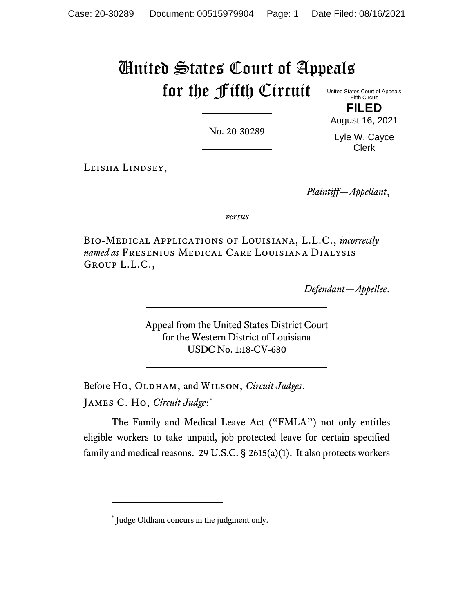# United States Court of Appeals for the Fifth Circuit United States Court of Appeals

Fifth Circuit **FILED**

No. 20-30289

August 16, 2021 Lyle W. Cayce Clerk

Leisha Lindsey,

*Plaintiff—Appellant*,

*versus*

Bio-Medical Applications of Louisiana, L.L.C., *incorrectly named as* Fresenius Medical Care Louisiana Dialysis Group L.L.C.,

*Defendant—Appellee*.

Appeal from the United States District Court for the Western District of Louisiana USDC No. 1:18-CV-680

Before Ho, OLDHAM, and WILSON, *Circuit Judges*.

James C. Ho, *Circuit Judge*: \*

The Family and Medical Leave Act ("FMLA") not only entitles eligible workers to take unpaid, job-protected leave for certain specified family and medical reasons. 29 U.S.C.  $\S$  2615(a)(1). It also protects workers

<sup>\*</sup> Judge Oldham concurs in the judgment only.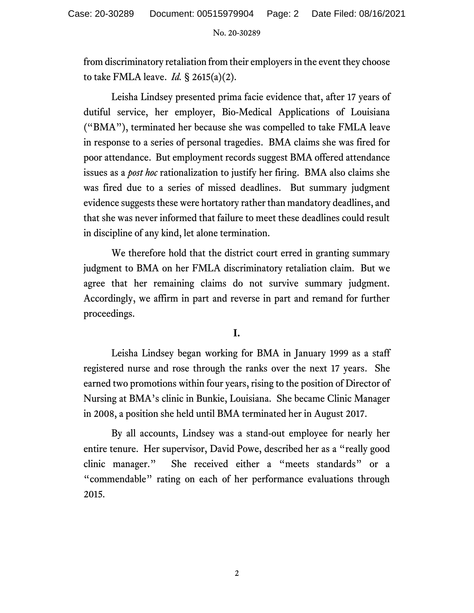from discriminatory retaliation from their employers in the event they choose to take FMLA leave. *Id.* § 2615(a)(2).

Leisha Lindsey presented prima facie evidence that, after 17 years of dutiful service, her employer, Bio-Medical Applications of Louisiana ("BMA"), terminated her because she was compelled to take FMLA leave in response to a series of personal tragedies. BMA claims she was fired for poor attendance. But employment records suggest BMA offered attendance issues as a *post hoc* rationalization to justify her firing. BMA also claims she was fired due to a series of missed deadlines. But summary judgment evidence suggests these were hortatory rather than mandatory deadlines, and that she was never informed that failure to meet these deadlines could result in discipline of any kind, let alone termination.

We therefore hold that the district court erred in granting summary judgment to BMA on her FMLA discriminatory retaliation claim. But we agree that her remaining claims do not survive summary judgment. Accordingly, we affirm in part and reverse in part and remand for further proceedings.

# **I.**

Leisha Lindsey began working for BMA in January 1999 as a staff registered nurse and rose through the ranks over the next 17 years. She earned two promotions within four years, rising to the position of Director of Nursing at BMA's clinic in Bunkie, Louisiana. She became Clinic Manager in 2008, a position she held until BMA terminated her in August 2017.

By all accounts, Lindsey was a stand-out employee for nearly her entire tenure. Her supervisor, David Powe, described her as a "really good clinic manager." She received either a "meets standards" or a "commendable" rating on each of her performance evaluations through 2015.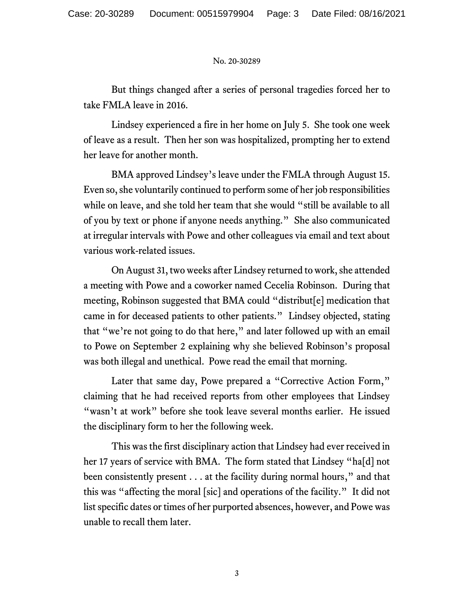But things changed after a series of personal tragedies forced her to take FMLA leave in 2016.

Lindsey experienced a fire in her home on July 5. She took one week of leave as a result. Then her son was hospitalized, prompting her to extend her leave for another month.

BMA approved Lindsey's leave under the FMLA through August 15. Even so, she voluntarily continued to perform some of her job responsibilities while on leave, and she told her team that she would "still be available to all of you by text or phone if anyone needs anything." She also communicated at irregular intervals with Powe and other colleagues via email and text about various work-related issues.

On August 31, two weeks after Lindsey returned to work, she attended a meeting with Powe and a coworker named Cecelia Robinson. During that meeting, Robinson suggested that BMA could "distribut[e] medication that came in for deceased patients to other patients." Lindsey objected, stating that "we're not going to do that here," and later followed up with an email to Powe on September 2 explaining why she believed Robinson's proposal was both illegal and unethical. Powe read the email that morning.

Later that same day, Powe prepared a "Corrective Action Form," claiming that he had received reports from other employees that Lindsey "wasn't at work" before she took leave several months earlier. He issued the disciplinary form to her the following week.

This was the first disciplinary action that Lindsey had ever received in her 17 years of service with BMA. The form stated that Lindsey "ha[d] not been consistently present . . . at the facility during normal hours," and that this was "affecting the moral [sic] and operations of the facility." It did not list specific dates or times of her purported absences, however, and Powe was unable to recall them later.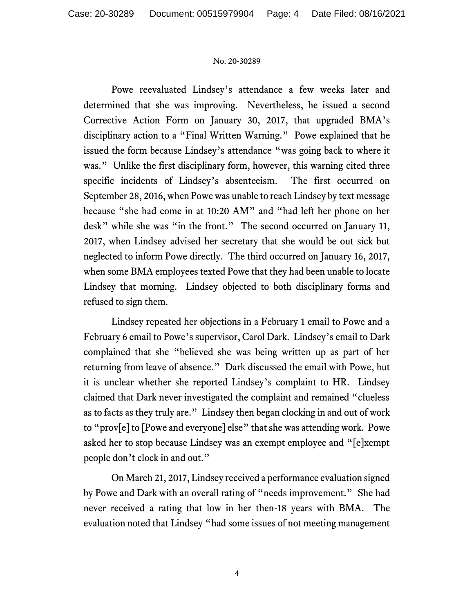Powe reevaluated Lindsey's attendance a few weeks later and determined that she was improving. Nevertheless, he issued a second Corrective Action Form on January 30, 2017, that upgraded BMA's disciplinary action to a "Final Written Warning." Powe explained that he issued the form because Lindsey's attendance "was going back to where it was." Unlike the first disciplinary form, however, this warning cited three specific incidents of Lindsey's absenteeism. The first occurred on September 28, 2016, when Powe was unable to reach Lindsey by text message because "she had come in at 10:20 AM" and "had left her phone on her desk" while she was "in the front." The second occurred on January 11, 2017, when Lindsey advised her secretary that she would be out sick but neglected to inform Powe directly. The third occurred on January 16, 2017, when some BMA employees texted Powe that they had been unable to locate Lindsey that morning. Lindsey objected to both disciplinary forms and refused to sign them.

Lindsey repeated her objections in a February 1 email to Powe and a February 6 email to Powe's supervisor, Carol Dark. Lindsey's email to Dark complained that she "believed she was being written up as part of her returning from leave of absence." Dark discussed the email with Powe, but it is unclear whether she reported Lindsey's complaint to HR. Lindsey claimed that Dark never investigated the complaint and remained "clueless as to facts as they truly are." Lindsey then began clocking in and out of work to "prov[e] to [Powe and everyone] else" that she was attending work. Powe asked her to stop because Lindsey was an exempt employee and "[e]xempt people don't clock in and out."

On March 21, 2017, Lindsey received a performance evaluation signed by Powe and Dark with an overall rating of "needs improvement." She had never received a rating that low in her then-18 years with BMA. The evaluation noted that Lindsey "had some issues of not meeting management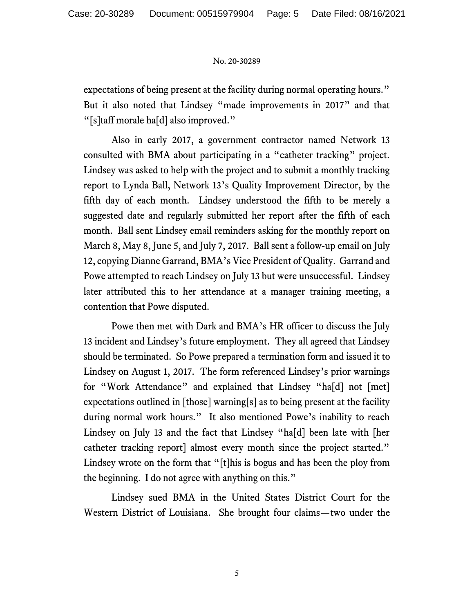expectations of being present at the facility during normal operating hours." But it also noted that Lindsey "made improvements in 2017" and that "[s]taff morale ha[d] also improved."

Also in early 2017, a government contractor named Network 13 consulted with BMA about participating in a "catheter tracking" project. Lindsey was asked to help with the project and to submit a monthly tracking report to Lynda Ball, Network 13's Quality Improvement Director, by the fifth day of each month. Lindsey understood the fifth to be merely a suggested date and regularly submitted her report after the fifth of each month. Ball sent Lindsey email reminders asking for the monthly report on March 8, May 8, June 5, and July 7, 2017. Ball sent a follow-up email on July 12, copying Dianne Garrand, BMA's Vice President of Quality. Garrand and Powe attempted to reach Lindsey on July 13 but were unsuccessful. Lindsey later attributed this to her attendance at a manager training meeting, a contention that Powe disputed.

Powe then met with Dark and BMA's HR officer to discuss the July 13 incident and Lindsey's future employment. They all agreed that Lindsey should be terminated. So Powe prepared a termination form and issued it to Lindsey on August 1, 2017. The form referenced Lindsey's prior warnings for "Work Attendance" and explained that Lindsey "ha[d] not [met] expectations outlined in [those] warning[s] as to being present at the facility during normal work hours." It also mentioned Powe's inability to reach Lindsey on July 13 and the fact that Lindsey "ha[d] been late with [her catheter tracking report] almost every month since the project started." Lindsey wrote on the form that "[t]his is bogus and has been the ploy from the beginning. I do not agree with anything on this."

Lindsey sued BMA in the United States District Court for the Western District of Louisiana. She brought four claims—two under the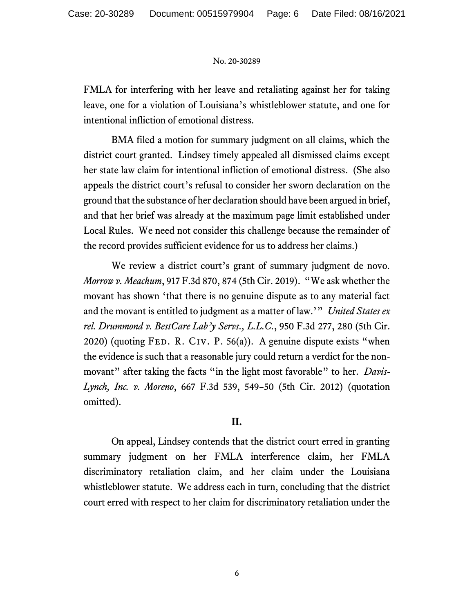FMLA for interfering with her leave and retaliating against her for taking leave, one for a violation of Louisiana's whistleblower statute, and one for intentional infliction of emotional distress.

BMA filed a motion for summary judgment on all claims, which the district court granted. Lindsey timely appealed all dismissed claims except her state law claim for intentional infliction of emotional distress. (She also appeals the district court's refusal to consider her sworn declaration on the ground that the substance of her declaration should have been argued in brief, and that her brief was already at the maximum page limit established under Local Rules. We need not consider this challenge because the remainder of the record provides sufficient evidence for us to address her claims.)

We review a district court's grant of summary judgment de novo. *Morrow v. Meachum*, 917 F.3d 870, 874 (5th Cir. 2019). "We ask whether the movant has shown 'that there is no genuine dispute as to any material fact and the movant is entitled to judgment as a matter of law.'" *United States ex rel. Drummond v. BestCare Lab'y Servs., L.L.C.*, 950 F.3d 277, 280 (5th Cir. 2020) (quoting FED. R. CIV. P. 56(a)). A genuine dispute exists "when the evidence is such that a reasonable jury could return a verdict for the nonmovant" after taking the facts "in the light most favorable" to her. *Davis-Lynch, Inc. v. Moreno*, 667 F.3d 539, 549–50 (5th Cir. 2012) (quotation omitted).

# **II.**

On appeal, Lindsey contends that the district court erred in granting summary judgment on her FMLA interference claim, her FMLA discriminatory retaliation claim, and her claim under the Louisiana whistleblower statute. We address each in turn, concluding that the district court erred with respect to her claim for discriminatory retaliation under the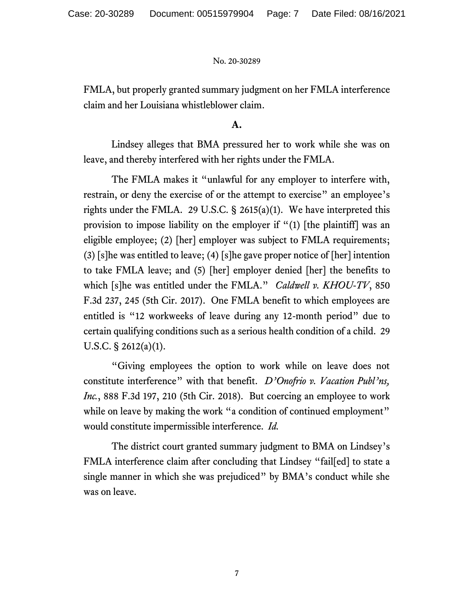FMLA, but properly granted summary judgment on her FMLA interference claim and her Louisiana whistleblower claim.

### **A.**

Lindsey alleges that BMA pressured her to work while she was on leave, and thereby interfered with her rights under the FMLA.

The FMLA makes it "unlawful for any employer to interfere with, restrain, or deny the exercise of or the attempt to exercise" an employee's rights under the FMLA. 29 U.S.C. § 2615(a)(1). We have interpreted this provision to impose liability on the employer if "(1) [the plaintiff] was an eligible employee; (2) [her] employer was subject to FMLA requirements; (3) [s]he was entitled to leave; (4) [s]he gave proper notice of [her] intention to take FMLA leave; and (5) [her] employer denied [her] the benefits to which [s]he was entitled under the FMLA." *Caldwell v. KHOU-TV*, 850 F.3d 237, 245 (5th Cir. 2017). One FMLA benefit to which employees are entitled is "12 workweeks of leave during any 12-month period" due to certain qualifying conditions such as a serious health condition of a child. 29 U.S.C. § 2612(a)(1).

"Giving employees the option to work while on leave does not constitute interference" with that benefit. *D'Onofrio v. Vacation Publ'ns, Inc.*, 888 F.3d 197, 210 (5th Cir. 2018). But coercing an employee to work while on leave by making the work "a condition of continued employment" would constitute impermissible interference. *Id.*

The district court granted summary judgment to BMA on Lindsey's FMLA interference claim after concluding that Lindsey "fail[ed] to state a single manner in which she was prejudiced" by BMA's conduct while she was on leave.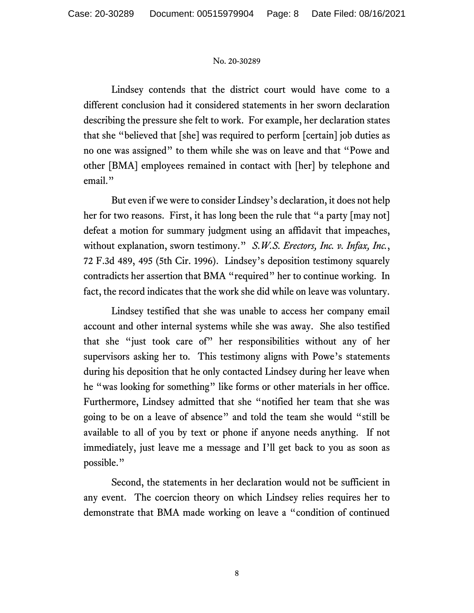Lindsey contends that the district court would have come to a different conclusion had it considered statements in her sworn declaration describing the pressure she felt to work. For example, her declaration states that she "believed that [she] was required to perform [certain] job duties as no one was assigned" to them while she was on leave and that "Powe and other [BMA] employees remained in contact with [her] by telephone and email."

But even if we were to consider Lindsey's declaration, it does not help her for two reasons. First, it has long been the rule that "a party [may not] defeat a motion for summary judgment using an affidavit that impeaches, without explanation, sworn testimony." *S.W.S. Erectors, Inc. v. Infax, Inc.*, 72 F.3d 489, 495 (5th Cir. 1996). Lindsey's deposition testimony squarely contradicts her assertion that BMA "required" her to continue working. In fact, the record indicates that the work she did while on leave was voluntary.

Lindsey testified that she was unable to access her company email account and other internal systems while she was away. She also testified that she "just took care of" her responsibilities without any of her supervisors asking her to. This testimony aligns with Powe's statements during his deposition that he only contacted Lindsey during her leave when he "was looking for something" like forms or other materials in her office. Furthermore, Lindsey admitted that she "notified her team that she was going to be on a leave of absence" and told the team she would "still be available to all of you by text or phone if anyone needs anything. If not immediately, just leave me a message and I'll get back to you as soon as possible."

Second, the statements in her declaration would not be sufficient in any event. The coercion theory on which Lindsey relies requires her to demonstrate that BMA made working on leave a "condition of continued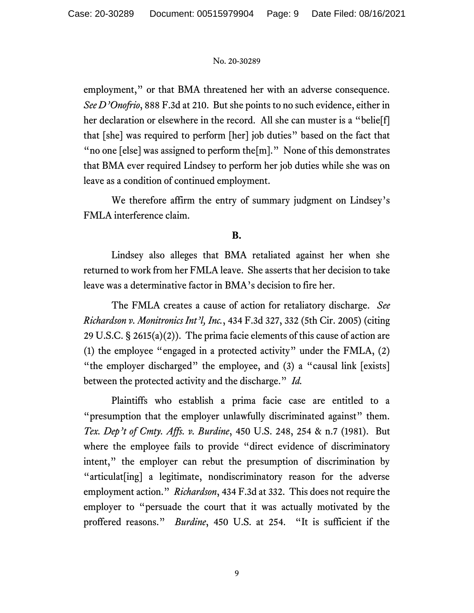employment," or that BMA threatened her with an adverse consequence. *See D'Onofrio*, 888 F.3d at 210. But she points to no such evidence, either in her declaration or elsewhere in the record. All she can muster is a "belie[f] that [she] was required to perform [her] job duties" based on the fact that " no one [else] was assigned to perform the [m]." None of this demonstrates that BMA ever required Lindsey to perform her job duties while she was on leave as a condition of continued employment.

We therefore affirm the entry of summary judgment on Lindsey's FMLA interference claim.

# **B.**

Lindsey also alleges that BMA retaliated against her when she returned to work from her FMLA leave. She asserts that her decision to take leave was a determinative factor in BMA's decision to fire her.

The FMLA creates a cause of action for retaliatory discharge. *See Richardson v. Monitronics Int'l, Inc.*, 434 F.3d 327, 332 (5th Cir. 2005) (citing 29 U.S.C. § 2615(a)(2)). The prima facie elements of this cause of action are (1) the employee "engaged in a protected activity" under the FMLA, (2) "the employer discharged" the employee, and (3) a "causal link [exists] between the protected activity and the discharge." *Id.*

Plaintiffs who establish a prima facie case are entitled to a "presumption that the employer unlawfully discriminated against" them. *Tex. Dep't of Cmty. Affs. v. Burdine*, 450 U.S. 248, 254 & n.7 (1981). But where the employee fails to provide "direct evidence of discriminatory intent," the employer can rebut the presumption of discrimination by "articulat[ing] a legitimate, nondiscriminatory reason for the adverse employment action." *Richardson*, 434 F.3d at 332. This does not require the employer to "persuade the court that it was actually motivated by the proffered reasons." *Burdine*, 450 U.S. at 254. "It is sufficient if the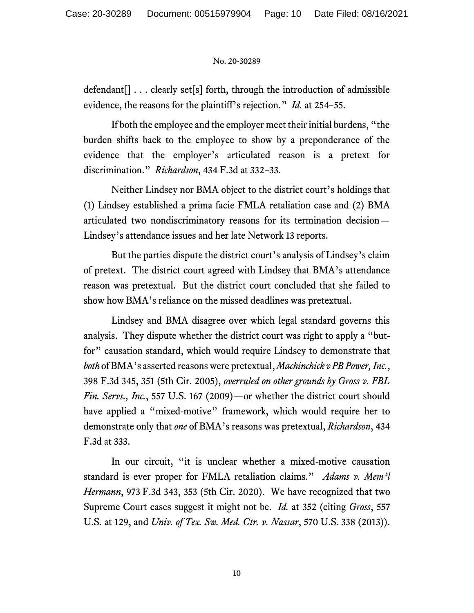defendant[] . . . clearly set[s] forth, through the introduction of admissible evidence, the reasons for the plaintiff's rejection." *Id.* at 254–55.

If both the employee and the employer meet their initial burdens, "the burden shifts back to the employee to show by a preponderance of the evidence that the employer's articulated reason is a pretext for discrimination." *Richardson*, 434 F.3d at 332–33.

Neither Lindsey nor BMA object to the district court's holdings that (1) Lindsey established a prima facie FMLA retaliation case and (2) BMA articulated two nondiscriminatory reasons for its termination decision— Lindsey's attendance issues and her late Network 13 reports.

But the parties dispute the district court's analysis of Lindsey's claim of pretext. The district court agreed with Lindsey that BMA's attendance reason was pretextual. But the district court concluded that she failed to show how BMA's reliance on the missed deadlines was pretextual.

Lindsey and BMA disagree over which legal standard governs this analysis. They dispute whether the district court was right to apply a "butfor" causation standard, which would require Lindsey to demonstrate that *both* of BMA's asserted reasons were pretextual, *Machinchick v PB Power, Inc.*, 398 F.3d 345, 351 (5th Cir. 2005), *overruled on other grounds by Gross v. FBL Fin. Servs., Inc.*, 557 U.S. 167 (2009)—or whether the district court should have applied a "mixed-motive" framework, which would require her to demonstrate only that *one* of BMA's reasons was pretextual, *Richardson*, 434 F.3d at 333.

In our circuit, "it is unclear whether a mixed-motive causation standard is ever proper for FMLA retaliation claims." *Adams v. Mem'l Hermann*, 973 F.3d 343, 353 (5th Cir. 2020). We have recognized that two Supreme Court cases suggest it might not be. *Id.* at 352 (citing *Gross*, 557 U.S. at 129, and *Univ. of Tex. Sw. Med. Ctr. v. Nassar*, 570 U.S. 338 (2013)).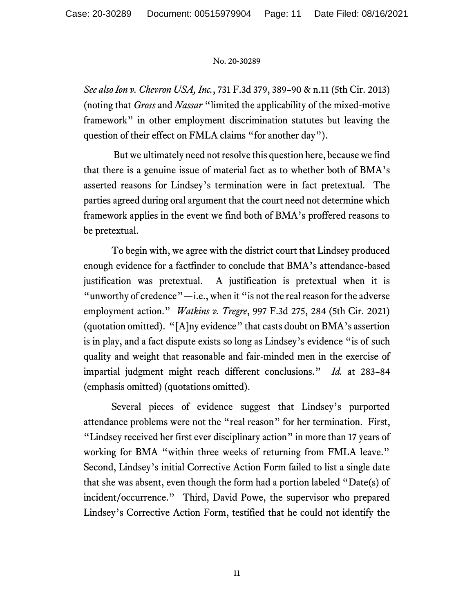*See also Ion v. Chevron USA, Inc.*, 731 F.3d 379, 389–90 & n.11 (5th Cir. 2013) (noting that *Gross* and *Nassar* "limited the applicability of the mixed-motive framework" in other employment discrimination statutes but leaving the question of their effect on FMLA claims "for another day").

But we ultimately need not resolve this question here, because we find that there is a genuine issue of material fact as to whether both of BMA's asserted reasons for Lindsey's termination were in fact pretextual. The parties agreed during oral argument that the court need not determine which framework applies in the event we find both of BMA's proffered reasons to be pretextual.

To begin with, we agree with the district court that Lindsey produced enough evidence for a factfinder to conclude that BMA's attendance-based justification was pretextual. A justification is pretextual when it is "unworthy of credence"—i.e., when it "is not the real reason for the adverse employment action." *Watkins v. Tregre*, 997 F.3d 275, 284 (5th Cir. 2021) (quotation omitted). "[A]ny evidence" that casts doubt on BMA's assertion is in play, and a fact dispute exists so long as Lindsey's evidence "is of such quality and weight that reasonable and fair-minded men in the exercise of impartial judgment might reach different conclusions." *Id.* at 283–84 (emphasis omitted) (quotations omitted).

Several pieces of evidence suggest that Lindsey's purported attendance problems were not the "real reason" for her termination. First, "Lindsey received her first ever disciplinary action" in more than 17 years of working for BMA "within three weeks of returning from FMLA leave." Second, Lindsey's initial Corrective Action Form failed to list a single date that she was absent, even though the form had a portion labeled "Date(s) of incident/occurrence." Third, David Powe, the supervisor who prepared Lindsey's Corrective Action Form, testified that he could not identify the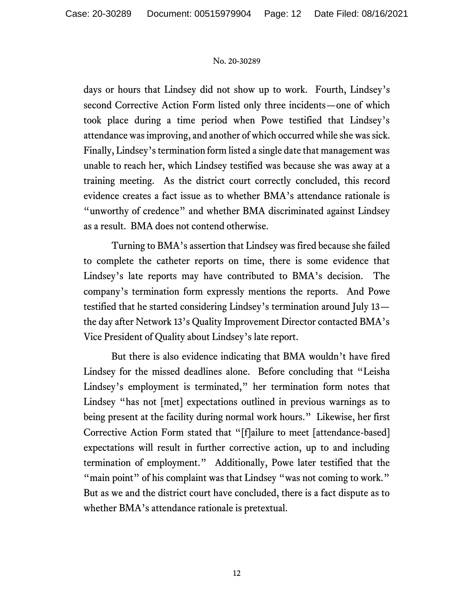days or hours that Lindsey did not show up to work. Fourth, Lindsey's second Corrective Action Form listed only three incidents—one of which took place during a time period when Powe testified that Lindsey's attendance was improving, and another of which occurred while she was sick. Finally, Lindsey's termination form listed a single date that management was unable to reach her, which Lindsey testified was because she was away at a training meeting. As the district court correctly concluded, this record evidence creates a fact issue as to whether BMA's attendance rationale is "unworthy of credence" and whether BMA discriminated against Lindsey as a result. BMA does not contend otherwise.

Turning to BMA's assertion that Lindsey was fired because she failed to complete the catheter reports on time, there is some evidence that Lindsey's late reports may have contributed to BMA's decision. The company's termination form expressly mentions the reports. And Powe testified that he started considering Lindsey's termination around July 13 the day after Network 13's Quality Improvement Director contacted BMA's Vice President of Quality about Lindsey's late report.

But there is also evidence indicating that BMA wouldn't have fired Lindsey for the missed deadlines alone. Before concluding that "Leisha Lindsey's employment is terminated," her termination form notes that Lindsey "has not [met] expectations outlined in previous warnings as to being present at the facility during normal work hours." Likewise, her first Corrective Action Form stated that "[f]ailure to meet [attendance-based] expectations will result in further corrective action, up to and including termination of employment." Additionally, Powe later testified that the "main point" of his complaint was that Lindsey "was not coming to work." But as we and the district court have concluded, there is a fact dispute as to whether BMA's attendance rationale is pretextual.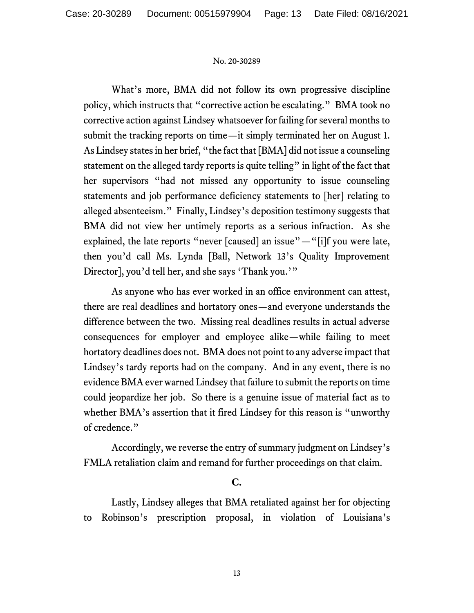What's more, BMA did not follow its own progressive discipline policy, which instructs that "corrective action be escalating." BMA took no corrective action against Lindsey whatsoever for failing for several months to submit the tracking reports on time—it simply terminated her on August 1. As Lindsey states in her brief, "the fact that [BMA] did not issue a counseling statement on the alleged tardy reports is quite telling" in light of the fact that her supervisors "had not missed any opportunity to issue counseling statements and job performance deficiency statements to [her] relating to alleged absenteeism." Finally, Lindsey's deposition testimony suggests that BMA did not view her untimely reports as a serious infraction. As she explained, the late reports "never [caused] an issue"—"[i]f you were late, then you'd call Ms. Lynda [Ball, Network 13's Quality Improvement Director], you'd tell her, and she says 'Thank you.'"

As anyone who has ever worked in an office environment can attest, there are real deadlines and hortatory ones—and everyone understands the difference between the two. Missing real deadlines results in actual adverse consequences for employer and employee alike—while failing to meet hortatory deadlines does not. BMA does not point to any adverse impact that Lindsey's tardy reports had on the company. And in any event, there is no evidence BMA ever warned Lindsey that failure to submit the reports on time could jeopardize her job. So there is a genuine issue of material fact as to whether BMA's assertion that it fired Lindsey for this reason is "unworthy of credence."

Accordingly, we reverse the entry of summary judgment on Lindsey's FMLA retaliation claim and remand for further proceedings on that claim.

# **C.**

Lastly, Lindsey alleges that BMA retaliated against her for objecting to Robinson's prescription proposal, in violation of Louisiana's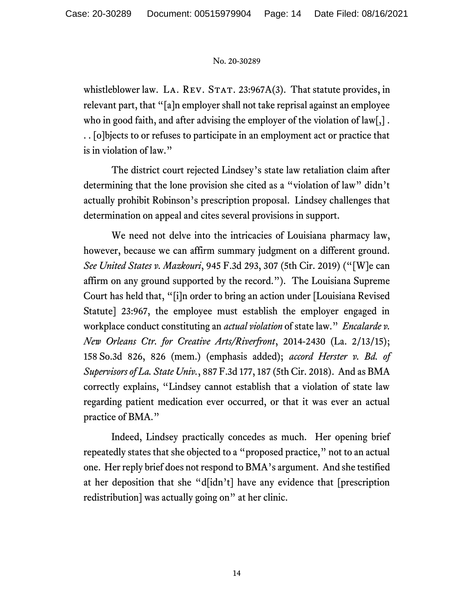whistleblower law. LA. REV. STAT.  $23:967A(3)$ . That statute provides, in relevant part, that "[a]n employer shall not take reprisal against an employee who in good faith, and after advising the employer of the violation of law[,] . . . [o]bjects to or refuses to participate in an employment act or practice that is in violation of law."

The district court rejected Lindsey's state law retaliation claim after determining that the lone provision she cited as a "violation of law" didn't actually prohibit Robinson's prescription proposal. Lindsey challenges that determination on appeal and cites several provisions in support.

We need not delve into the intricacies of Louisiana pharmacy law, however, because we can affirm summary judgment on a different ground. *See United States v. Mazkouri*, 945 F.3d 293, 307 (5th Cir. 2019) ("[W]e can affirm on any ground supported by the record."). The Louisiana Supreme Court has held that, "[i]n order to bring an action under [Louisiana Revised Statute] 23:967, the employee must establish the employer engaged in workplace conduct constituting an *actual violation* of state law." *Encalarde v. New Orleans Ctr. for Creative Arts/Riverfront*, 2014-2430 (La. 2/13/15); 158 So.3d 826, 826 (mem.) (emphasis added); *accord Herster v. Bd. of Supervisors of La. State Univ.*, 887 F.3d 177, 187 (5th Cir. 2018). And as BMA correctly explains, "Lindsey cannot establish that a violation of state law regarding patient medication ever occurred, or that it was ever an actual practice of BMA."

Indeed, Lindsey practically concedes as much. Her opening brief repeatedly states that she objected to a "proposed practice," not to an actual one. Her reply brief does not respond to BMA's argument. And she testified at her deposition that she "d[idn't] have any evidence that [prescription redistribution] was actually going on" at her clinic.